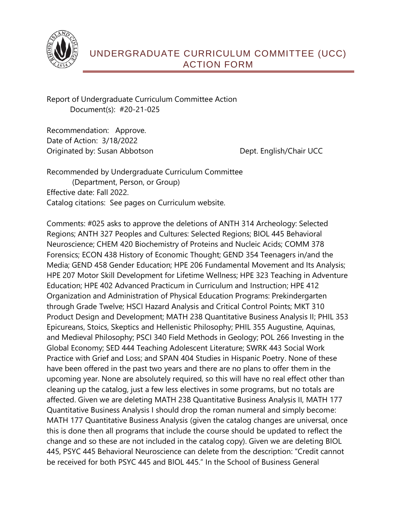

Report of Undergraduate Curriculum Committee Action Document(s): #20-21-025

Recommendation: Approve. Date of Action: 3/18/2022 Originated by: Susan Abbotson **Dept. English/Chair UCC** 

Recommended by Undergraduate Curriculum Committee (Department, Person, or Group) Effective date: Fall 2022. Catalog citations: See pages on Curriculum website.

Comments: #025 asks to approve the deletions of ANTH 314 Archeology: Selected Regions; ANTH 327 Peoples and Cultures: Selected Regions; BIOL 445 Behavioral Neuroscience; CHEM 420 Biochemistry of Proteins and Nucleic Acids; COMM 378 Forensics; ECON 438 History of Economic Thought; GEND 354 Teenagers in/and the Media; GEND 458 Gender Education; HPE 206 Fundamental Movement and Its Analysis; HPE 207 Motor Skill Development for Lifetime Wellness; HPE 323 Teaching in Adventure Education; HPE 402 Advanced Practicum in Curriculum and Instruction; HPE 412 Organization and Administration of Physical Education Programs: Prekindergarten through Grade Twelve; HSCI Hazard Analysis and Critical Control Points; MKT 310 Product Design and Development; MATH 238 Quantitative Business Analysis II; PHIL 353 Epicureans, Stoics, Skeptics and Hellenistic Philosophy; PHIL 355 Augustine, Aquinas, and Medieval Philosophy; PSCI 340 Field Methods in Geology; POL 266 Investing in the Global Economy; SED 444 Teaching Adolescent Literature; SWRK 443 Social Work Practice with Grief and Loss; and SPAN 404 Studies in Hispanic Poetry. None of these have been offered in the past two years and there are no plans to offer them in the upcoming year. None are absolutely required, so this will have no real effect other than cleaning up the catalog, just a few less electives in some programs, but no totals are affected. Given we are deleting MATH 238 Quantitative Business Analysis II, MATH 177 Quantitative Business Analysis I should drop the roman numeral and simply become: MATH 177 Quantitative Business Analysis (given the catalog changes are universal, once this is done then all programs that include the course should be updated to reflect the change and so these are not included in the catalog copy). Given we are deleting BIOL 445, PSYC 445 Behavioral Neuroscience can delete from the description: "Credit cannot be received for both PSYC 445 and BIOL 445." In the School of Business General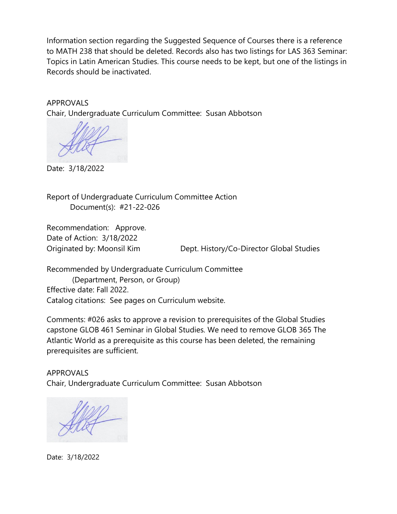Information section regarding the Suggested Sequence of Courses there is a reference to MATH 238 that should be deleted. Records also has two listings for LAS 363 Seminar: Topics in Latin American Studies. This course needs to be kept, but one of the listings in Records should be inactivated.

## APPROVALS

Chair, Undergraduate Curriculum Committee: Susan Abbotson

Date: 3/18/2022

Report of Undergraduate Curriculum Committee Action Document(s): #21-22-026

Recommendation: Approve. Date of Action: 3/18/2022

Originated by: Moonsil Kim Dept. History/Co-Director Global Studies

Recommended by Undergraduate Curriculum Committee (Department, Person, or Group) Effective date: Fall 2022. Catalog citations: See pages on Curriculum website.

Comments: #026 asks to approve a revision to prerequisites of the Global Studies capstone GLOB 461 Seminar in Global Studies. We need to remove GLOB 365 The Atlantic World as a prerequisite as this course has been deleted, the remaining prerequisites are sufficient.

APPROVALS Chair, Undergraduate Curriculum Committee: Susan Abbotson

Date: 3/18/2022